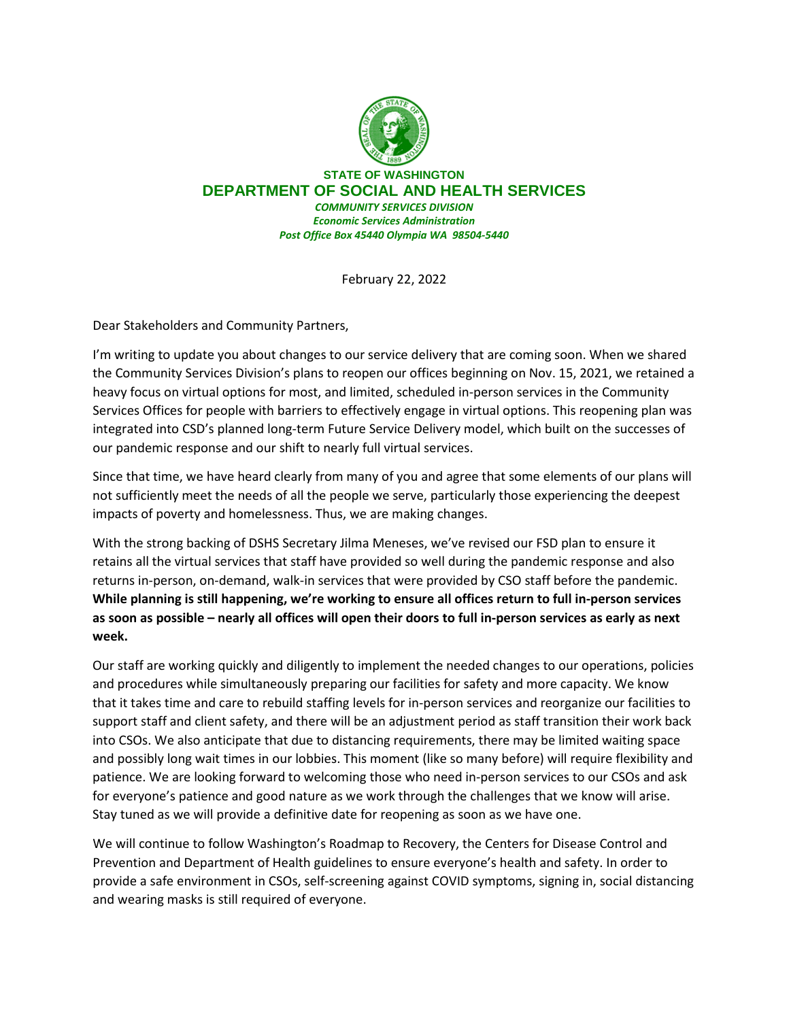

**STATE OF WASHINGTON DEPARTMENT OF SOCIAL AND HEALTH SERVICES** *COMMUNITY SERVICES DIVISION Economic Services Administration Post Office Box 45440 Olympia WA 98504-5440*

February 22, 2022

Dear Stakeholders and Community Partners,

I'm writing to update you about changes to our service delivery that are coming soon. When we shared the Community Services Division's plans to reopen our offices beginning on Nov. 15, 2021, we retained a heavy focus on virtual options for most, and limited, scheduled in-person services in the Community Services Offices for people with barriers to effectively engage in virtual options. This reopening plan was integrated into CSD's planned long-term Future Service Delivery model, which built on the successes of our pandemic response and our shift to nearly full virtual services.

Since that time, we have heard clearly from many of you and agree that some elements of our plans will not sufficiently meet the needs of all the people we serve, particularly those experiencing the deepest impacts of poverty and homelessness. Thus, we are making changes.

With the strong backing of DSHS Secretary Jilma Meneses, we've revised our FSD plan to ensure it retains all the virtual services that staff have provided so well during the pandemic response and also returns in-person, on-demand, walk-in services that were provided by CSO staff before the pandemic. **While planning is still happening, we're working to ensure all offices return to full in-person services as soon as possible – nearly all offices will open their doors to full in-person services as early as next week.**

Our staff are working quickly and diligently to implement the needed changes to our operations, policies and procedures while simultaneously preparing our facilities for safety and more capacity. We know that it takes time and care to rebuild staffing levels for in-person services and reorganize our facilities to support staff and client safety, and there will be an adjustment period as staff transition their work back into CSOs. We also anticipate that due to distancing requirements, there may be limited waiting space and possibly long wait times in our lobbies. This moment (like so many before) will require flexibility and patience. We are looking forward to welcoming those who need in-person services to our CSOs and ask for everyone's patience and good nature as we work through the challenges that we know will arise. Stay tuned as we will provide a definitive date for reopening as soon as we have one.

We will continue to follow Washington's Roadmap to Recovery, the Centers for Disease Control and Prevention and Department of Health guidelines to ensure everyone's health and safety. In order to provide a safe environment in CSOs, self-screening against COVID symptoms, signing in, social distancing and wearing masks is still required of everyone.